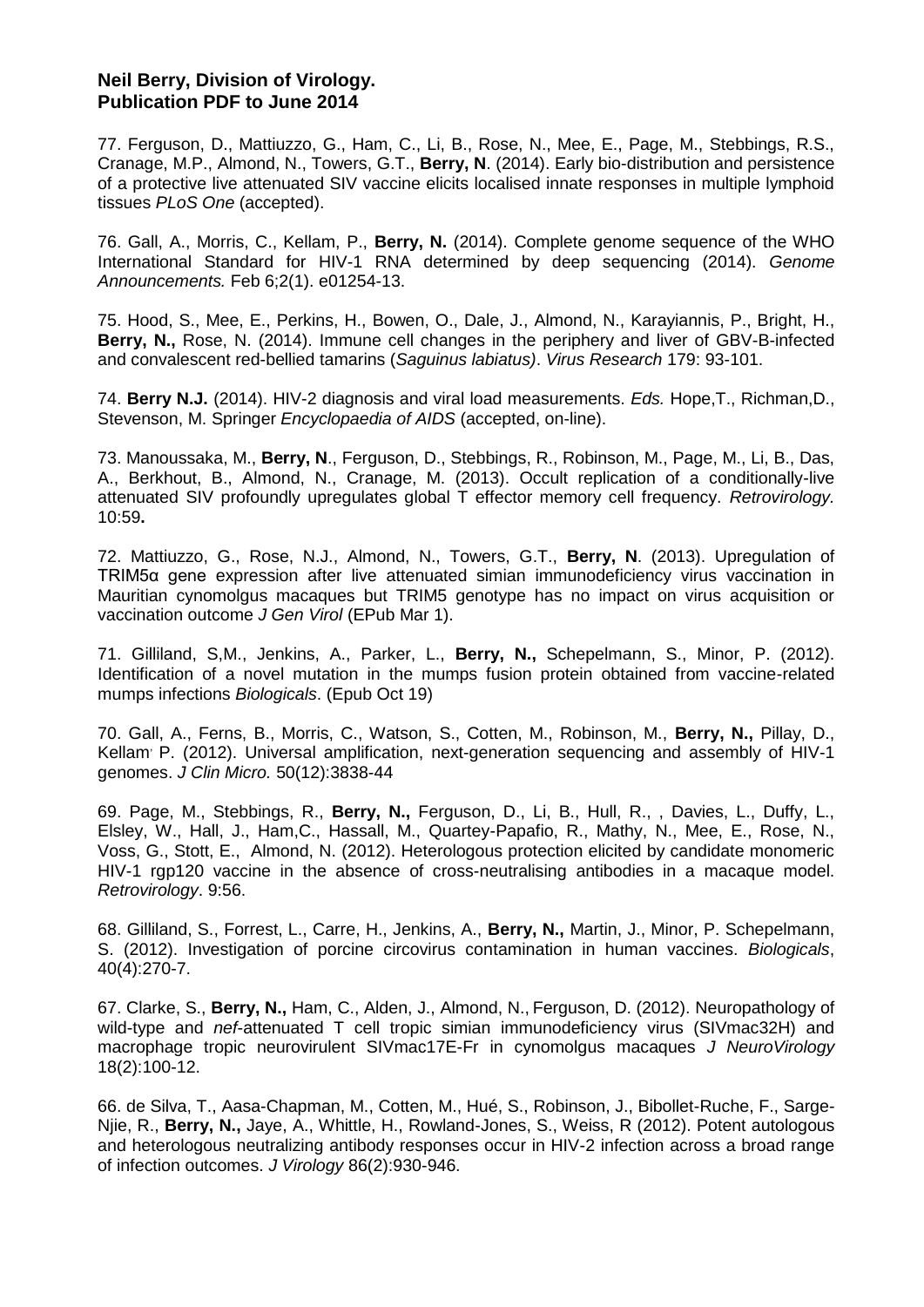# **Neil Berry, Division of Virology. Publication PDF to June 2014**

77. Ferguson, D., Mattiuzzo, G., Ham, C., Li, B., Rose, N., Mee, E., Page, M., Stebbings, R.S., Cranage, M.P., Almond, N., Towers, G.T., **Berry, N**. (2014). Early bio-distribution and persistence of a protective live attenuated SIV vaccine elicits localised innate responses in multiple lymphoid tissues *PLoS One* (accepted).

76. Gall, A., Morris, C., Kellam, P., **Berry, N.** (2014). Complete genome sequence of the WHO International Standard for HIV-1 RNA determined by deep sequencing (2014). *Genome Announcements.* Feb 6;2(1). e01254-13.

75. Hood, S., Mee, E., Perkins, H., Bowen, O., Dale, J., Almond, N., Karayiannis, P., Bright, H., **Berry, N.,** Rose, N. (2014). Immune cell changes in the periphery and liver of GBV-B-infected and convalescent red-bellied tamarins (*Saguinus labiatus)*. *Virus Research* 179: 93-101.

74. **Berry N.J.** (2014). HIV-2 diagnosis and viral load measurements. *Eds.* Hope,T., Richman,D., Stevenson, M. Springer *Encyclopaedia of AIDS* (accepted, on-line).

73. Manoussaka, M., **Berry, N**., Ferguson, D., Stebbings, R., Robinson, M., Page, M., Li, B., Das, A., Berkhout, B., Almond, N., Cranage, M. (2013). Occult replication of a conditionally-live attenuated SIV profoundly upregulates global T effector memory cell frequency. *Retrovirology.* 10:59**.**

72. Mattiuzzo, G., Rose, N.J., Almond, N., Towers, G.T., **Berry, N**. (2013). Upregulation of TRIM5α gene expression after live attenuated simian immunodeficiency virus vaccination in Mauritian cynomolgus macaques but TRIM5 genotype has no impact on virus acquisition or vaccination outcome *J Gen Virol* (EPub Mar 1).

71. Gilliland, S,M., Jenkins, A., Parker, L., **Berry, N.,** Schepelmann, S., Minor, P. (2012). Identification of a novel mutation in the mumps fusion protein obtained from vaccine-related mumps infections *Biologicals*. (Epub Oct 19)

70. Gall, A., Ferns, B., Morris, C., Watson, S., Cotten, M., Robinson, M., **Berry, N.,** Pillay, D., Kellam, P. (2012). Universal amplification, next-generation sequencing and assembly of HIV-1 genomes. *J Clin Micro.* 50(12):3838-44

69. Page, M., Stebbings, R., **Berry, N.,** Ferguson, D., Li, B., Hull, R., , Davies, L., Duffy, L., Elsley, W., Hall, J., Ham,C., Hassall, M., Quartey-Papafio, R., Mathy, N., Mee, E., Rose, N., Voss, G., Stott, E., Almond, N. (2012). Heterologous protection elicited by candidate monomeric HIV-1 rgp120 vaccine in the absence of cross-neutralising antibodies in a macaque model. *Retrovirology*. 9:56.

68. Gilliland, S., Forrest, L., Carre, H., Jenkins, A., **Berry, N.,** Martin, J., Minor, P. Schepelmann, S. (2012). Investigation of porcine circovirus contamination in human vaccines. *Biologicals*, 40(4):270-7.

67. Clarke, S., **Berry, N.,** Ham, C., Alden, J., Almond, N., Ferguson, D. (2012). Neuropathology of wild-type and *nef*-attenuated T cell tropic simian immunodeficiency virus (SIVmac32H) and macrophage tropic neurovirulent SIVmac17E-Fr in cynomolgus macaques *J NeuroVirology*  18(2):100-12.

66. de Silva, T., Aasa-Chapman, M., Cotten, M., Hué, S., Robinson, J., Bibollet-Ruche, F., Sarge-Njie, R., **Berry, N.,** Jaye, A., Whittle, H., Rowland-Jones, S., Weiss, R (2012). Potent autologous and heterologous neutralizing antibody responses occur in HIV-2 infection across a broad range of infection outcomes. *J Virology* 86(2):930-946.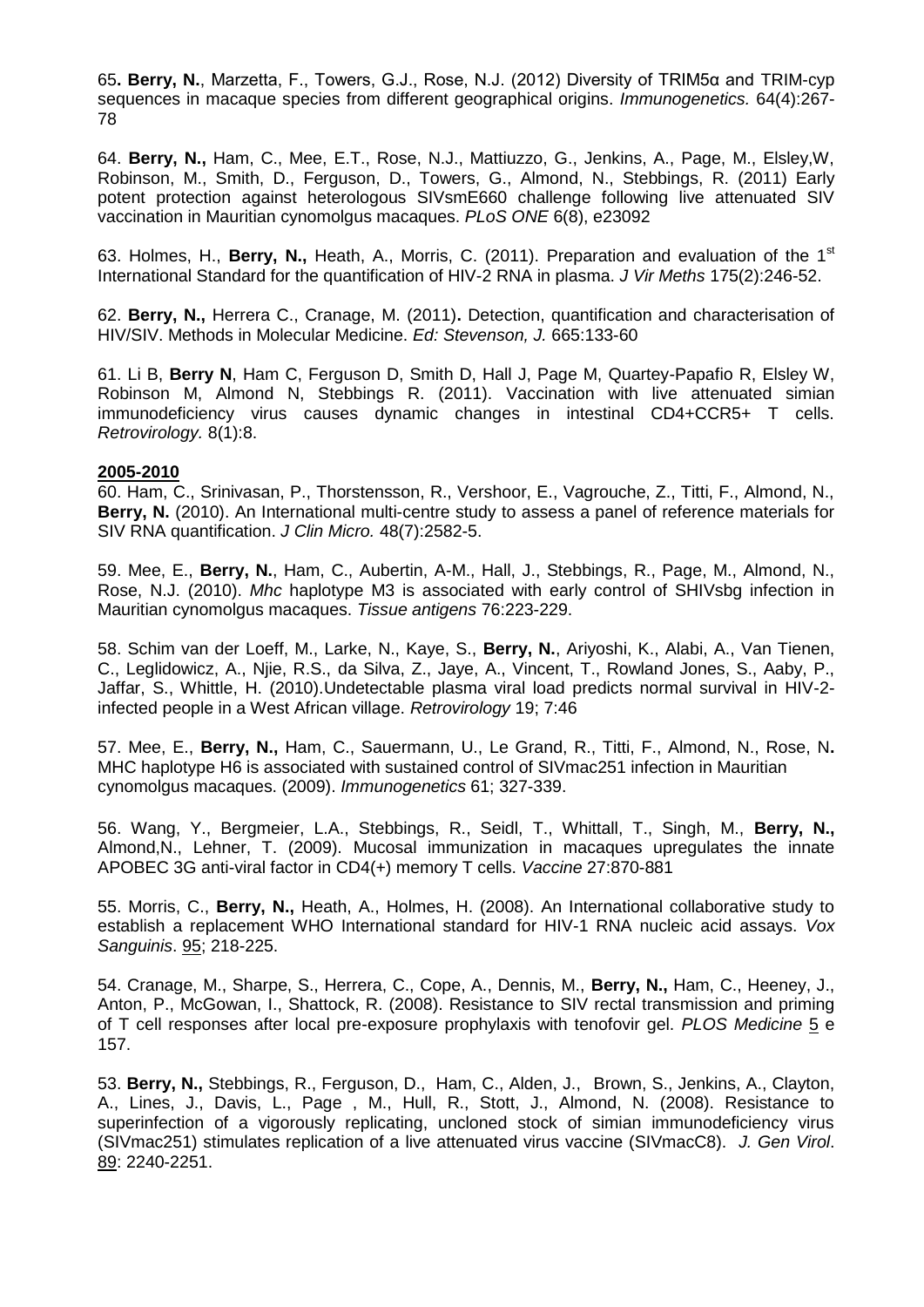65**. Berry, N.**, Marzetta, F., Towers, G.J., Rose, N.J. (2012) Diversity of TRIM5α and TRIM-cyp sequences in macaque species from different geographical origins. *Immunogenetics.* 64(4):267- 78

64. **Berry, N.,** Ham, C., Mee, E.T., Rose, N.J., Mattiuzzo, G., Jenkins, A., Page, M., Elsley,W, Robinson, M., Smith, D., Ferguson, D., Towers, G., Almond, N., Stebbings, R. (2011) Early potent protection against heterologous SIVsmE660 challenge following live attenuated SIV vaccination in Mauritian cynomolgus macaques. *PLoS ONE* 6(8), e23092

63. Holmes, H., **Berry, N.,** Heath, A., Morris, C. (2011). Preparation and evaluation of the 1st International Standard for the quantification of HIV-2 RNA in plasma. *J Vir Meths* 175(2):246-52.

62. **Berry, N.,** Herrera C., Cranage, M. (2011)**.** Detection, quantification and characterisation of HIV/SIV. Methods in Molecular Medicine. *Ed: Stevenson, J.* 665:133-60

61. Li B, **Berry N**, Ham C, Ferguson D, Smith D, Hall J, Page M, Quartey-Papafio R, Elsley W, Robinson M, Almond N, Stebbings R. (2011). [Vaccination with live attenuated simian](http://www.ncbi.nlm.nih.gov/pubmed/21291552)  [immunodeficiency virus causes dynamic changes in intestinal CD4+CCR5+ T cells.](http://www.ncbi.nlm.nih.gov/pubmed/21291552) *Retrovirology.* 8(1):8.

### **2005-2010**

60. Ham, C., Srinivasan, P., Thorstensson, R., Vershoor, E., Vagrouche, Z., Titti, F., Almond, N., **Berry, N.** (2010). An International multi-centre study to assess a panel of reference materials for SIV RNA quantification. *J Clin Micro.* 48(7):2582-5.

59. Mee, E., **Berry, N.**, Ham, C., Aubertin, A-M., Hall, J., Stebbings, R., Page, M., Almond, N., Rose, N.J. (2010). *Mhc* haplotype M3 is associated with early control of SHIVsbg infection in Mauritian cynomolgus macaques. *Tissue antigens* 76:223-229.

58. Schim van der Loeff, M., Larke, N., Kaye, S., **Berry, N.**, Ariyoshi, K., Alabi, A., Van Tienen, C., Leglidowicz, A., Njie, R.S., da Silva, Z., Jaye, A., Vincent, T., Rowland Jones, S., Aaby, P., Jaffar, S., Whittle, H. (2010).Undetectable plasma viral load predicts normal survival in HIV-2 infected people in a West African village. *Retrovirology* 19; 7:46

57. Mee, E., **Berry, N.,** Ham, C., Sauermann, U., Le Grand, R., Titti, F., Almond, N., Rose, N**.**  MHC haplotype H6 is associated with sustained control of SIVmac251 infection in Mauritian cynomolgus macaques. (2009). *Immunogenetics* 61; 327-339.

56. Wang, Y., Bergmeier, L.A., Stebbings, R., Seidl, T., Whittall, T., Singh, M., **Berry, N.,** Almond,N., Lehner, T. (2009). [Mucosal immunization in macaques upregulates the innate](http://www.ncbi.nlm.nih.gov/pubmed/19084567?ordinalpos=1&itool=EntrezSystem2.PEntrez.Pubmed.Pubmed_ResultsPanel.Pubmed_DefaultReportPanel.Pubmed_RVDocSum)  [APOBEC 3G anti-viral factor in CD4\(+\) memory T cells.](http://www.ncbi.nlm.nih.gov/pubmed/19084567?ordinalpos=1&itool=EntrezSystem2.PEntrez.Pubmed.Pubmed_ResultsPanel.Pubmed_DefaultReportPanel.Pubmed_RVDocSum) *Vaccine* 27:870-881

55. Morris, C., **Berry, N.,** Heath, A., Holmes, H. (2008). An International collaborative study to establish a replacement WHO International standard for HIV-1 RNA nucleic acid assays. *Vox Sanguinis*. 95; 218-225.

54. Cranage, M., Sharpe, S., Herrera, C., Cope, A., Dennis, M., **Berry, N.,** Ham, C., Heeney, J., Anton, P., McGowan, I., Shattock, R. (2008). Resistance to SIV rectal transmission and priming of T cell responses after local pre-exposure prophylaxis with tenofovir gel. *PLOS Medicine* 5 e 157.

53. **Berry, N.,** Stebbings, R., Ferguson, D., Ham, C., Alden, J., Brown, S., Jenkins, A., Clayton, A., Lines, J., Davis, L., Page , M., Hull, R., Stott, J., Almond, N. (2008). Resistance to superinfection of a vigorously replicating, uncloned stock of simian immunodeficiency virus (SIVmac251) stimulates replication of a live attenuated virus vaccine (SIVmacC8). *J. Gen Virol*. 89: 2240-2251.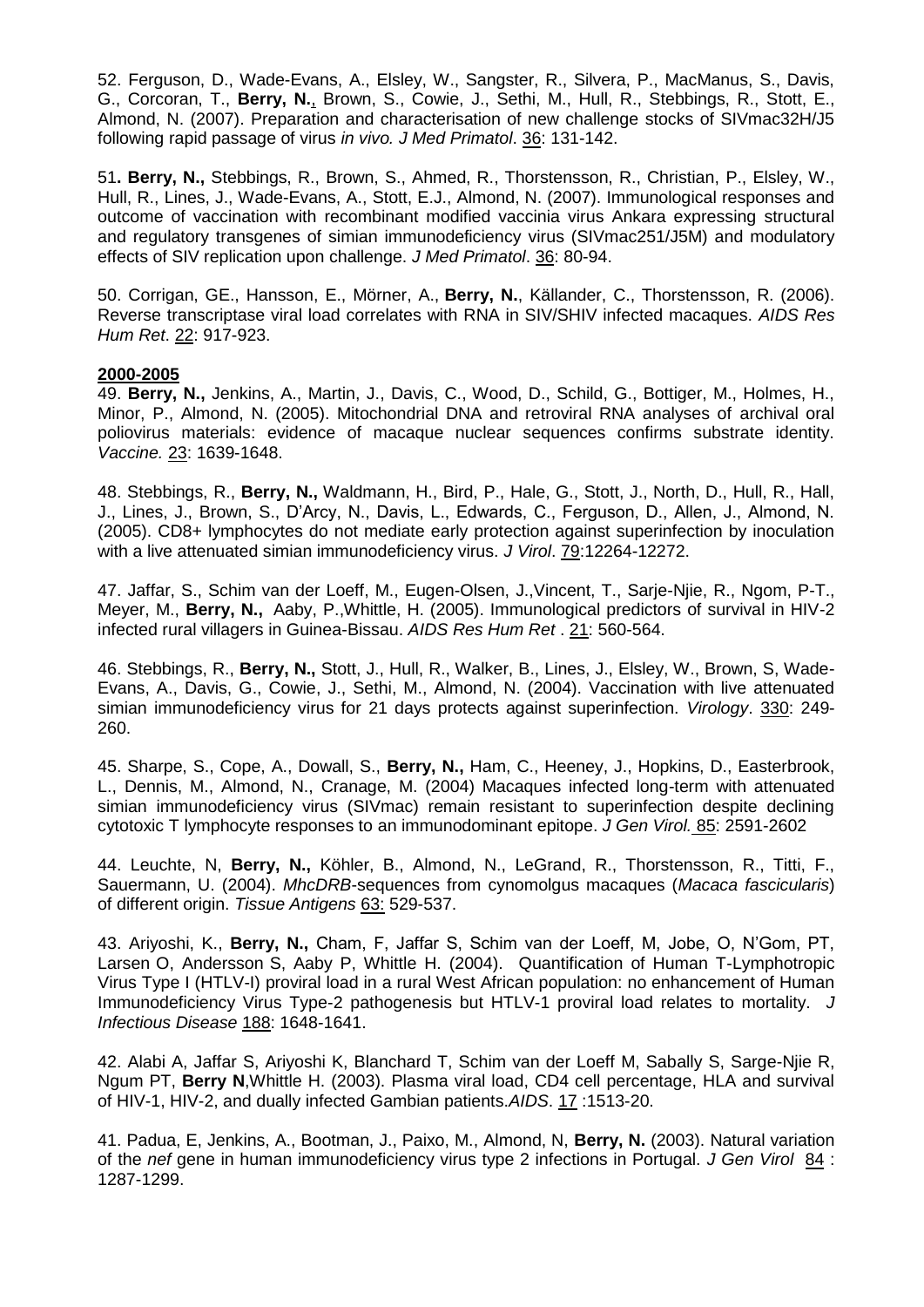52. Ferguson, D., Wade-Evans, A., Elsley, W., Sangster, R., Silvera, P., MacManus, S., Davis, G., Corcoran, T., **Berry, N.**, Brown, S., Cowie, J., Sethi, M., Hull, R., Stebbings, R., Stott, E., Almond, N. (2007). Preparation and characterisation of new challenge stocks of SIVmac32H/J5 following rapid passage of virus *in vivo. J Med Primatol*. 36: 131-142.

51**. Berry, N.,** Stebbings, R., Brown, S., Ahmed, R., Thorstensson, R., Christian, P., Elsley, W., Hull, R., Lines, J., Wade-Evans, A., Stott, E.J., Almond, N. (2007). Immunological responses and outcome of vaccination with recombinant modified vaccinia virus Ankara expressing structural and regulatory transgenes of simian immunodeficiency virus (SIVmac251/J5M) and modulatory effects of SIV replication upon challenge. *J Med Primatol*. 36: 80-94.

50. Corrigan, GE., Hansson, E., Mörner, A., **Berry, N.**, Källander, C., Thorstensson, R. (2006). Reverse transcriptase viral load correlates with RNA in SIV/SHIV infected macaques. *AIDS Res Hum Ret*. 22: 917-923.

### **2000-2005**

49. **Berry, N.,** Jenkins, A., Martin, J., Davis, C., Wood, D., Schild, G., Bottiger, M., Holmes, H., Minor, P., Almond, N. (2005). Mitochondrial DNA and retroviral RNA analyses of archival oral poliovirus materials: evidence of macaque nuclear sequences confirms substrate identity. *Vaccine.* 23: 1639-1648.

48. Stebbings, R., **Berry, N.,** Waldmann, H., Bird, P., Hale, G., Stott, J., North, D., Hull, R., Hall, J., Lines, J., Brown, S., D'Arcy, N., Davis, L., Edwards, C., Ferguson, D., Allen, J., Almond, N. (2005). CD8+ lymphocytes do not mediate early protection against superinfection by inoculation with a live attenuated simian immunodeficiency virus. *J Virol*. 79:12264-12272.

47. Jaffar, S., Schim van der Loeff, M., Eugen-Olsen, J.,Vincent, T., Sarje-Njie, R., Ngom, P-T., Meyer, M., **Berry, N.,** Aaby, P.,Whittle, H. (2005). Immunological predictors of survival in HIV-2 infected rural villagers in Guinea-Bissau. *AIDS Res Hum Ret* . 21: 560-564.

46. Stebbings, R., **Berry, N.,** Stott, J., Hull, R., Walker, B., Lines, J., Elsley, W., Brown, S, Wade-Evans, A., Davis, G., Cowie, J., Sethi, M., Almond, N. (2004). Vaccination with live attenuated simian immunodeficiency virus for 21 days protects against superinfection. *Virology*. 330: 249- 260.

45. Sharpe, S., Cope, A., Dowall, S., **Berry, N.,** Ham, C., Heeney, J., Hopkins, D., Easterbrook, L., Dennis, M., Almond, N., Cranage, M. (2004) Macaques infected long-term with attenuated simian immunodeficiency virus (SIVmac) remain resistant to superinfection despite declining cytotoxic T lymphocyte responses to an immunodominant epitope. *J Gen Virol.* 85: 2591-2602

44. Leuchte, N, **Berry, N.,** Köhler, B., Almond, N., LeGrand, R., Thorstensson, R., Titti, F., Sauermann, U. (2004). *MhcDRB*-sequences from cynomolgus macaques (*Macaca fascicularis*) of different origin. *Tissue Antigens* 63: 529-537.

43. Ariyoshi, K., **Berry, N.,** Cham, F, Jaffar S, Schim van der Loeff, M, Jobe, O, N'Gom, PT, Larsen O, Andersson S, Aaby P, Whittle H. (2004). Quantification of Human T-Lymphotropic Virus Type I (HTLV-I) proviral load in a rural West African population: no enhancement of Human Immunodeficiency Virus Type-2 pathogenesis but HTLV-1 proviral load relates to mortality. *J Infectious Disease* 188: 1648-1641.

42. Alabi A, Jaffar S, Ariyoshi K, Blanchard T, Schim van der Loeff M, Sabally S, Sarge-Njie R, Ngum PT, **Berry N**,Whittle H. (2003). Plasma viral load, CD4 cell percentage, HLA and survival of HIV-1, HIV-2, and dually infected Gambian patients.*AIDS*. 17 :1513-20.

41. Padua, E, Jenkins, A., Bootman, J., Paixo, M., Almond, N, **Berry, N.** (2003). Natural variation of the *nef* gene in human immunodeficiency virus type 2 infections in Portugal. *J Gen Virol* 84 : 1287-1299.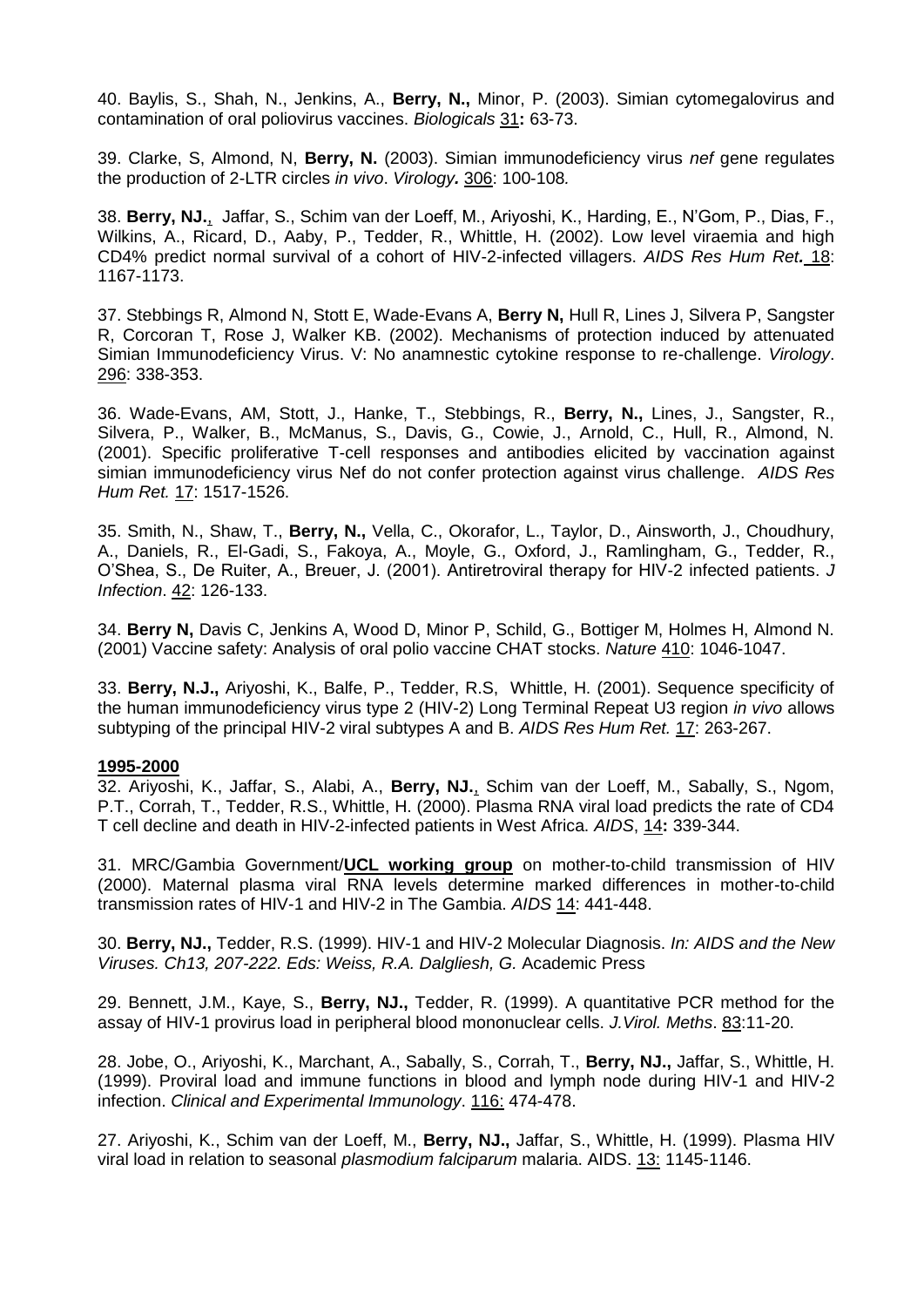40. Baylis, S., Shah, N., Jenkins, A., **Berry, N.,** Minor, P. (2003). Simian cytomegalovirus and contamination of oral poliovirus vaccines. *Biologicals* 31**:** 63-73.

39. Clarke, S, Almond, N, **Berry, N.** (2003). Simian immunodeficiency virus *nef* gene regulates the production of 2-LTR circles *in vivo*. *Virology.* 306: 100-108*.*

38. **Berry, NJ.**, Jaffar, S., Schim van der Loeff, M., Ariyoshi, K., Harding, E., N'Gom, P., Dias, F., Wilkins, A., Ricard, D., Aaby, P., Tedder, R., Whittle, H. (2002). Low level viraemia and high CD4% predict normal survival of a cohort of HIV-2-infected villagers. *AIDS Res Hum Ret.* 18: 1167-1173.

37. Stebbings R, Almond N, Stott E, Wade-Evans A, **Berry N,** Hull R, Lines J, Silvera P, Sangster R, Corcoran T, Rose J, Walker KB. (2002). Mechanisms of protection induced by attenuated Simian Immunodeficiency Virus. V: No anamnestic cytokine response to re-challenge. *Virology*. 296: 338-353.

36. Wade-Evans, AM, Stott, J., Hanke, T., Stebbings, R., **Berry, N.,** Lines, J., Sangster, R., Silvera, P., Walker, B., McManus, S., Davis, G., Cowie, J., Arnold, C., Hull, R., Almond, N. (2001). Specific proliferative T-cell responses and antibodies elicited by vaccination against simian immunodeficiency virus Nef do not confer protection against virus challenge. *AIDS Res Hum Ret.* 17: 1517-1526.

35. Smith, N., Shaw, T., **Berry, N.,** Vella, C., Okorafor, L., Taylor, D., Ainsworth, J., Choudhury, A., Daniels, R., El-Gadi, S., Fakoya, A., Moyle, G., Oxford, J., Ramlingham, G., Tedder, R., O'Shea, S., De Ruiter, A., Breuer, J. (2001). Antiretroviral therapy for HIV-2 infected patients. *J Infection*. 42: 126-133.

34. **Berry N,** Davis C, Jenkins A, Wood D, Minor P, Schild, G., Bottiger M, Holmes H, Almond N. (2001) Vaccine safety: Analysis of oral polio vaccine CHAT stocks. *Nature* 410: 1046-1047.

33. **Berry, N.J.,** Ariyoshi, K., Balfe, P., Tedder, R.S, Whittle, H. (2001). Sequence specificity of the human immunodeficiency virus type 2 (HIV-2) Long Terminal Repeat U3 region *in vivo* allows subtyping of the principal HIV-2 viral subtypes A and B. *AIDS Res Hum Ret.* 17: 263-267.

### **1995-2000**

32. Ariyoshi, K., Jaffar, S., Alabi, A., **Berry, NJ.**, Schim van der Loeff, M., Sabally, S., Ngom, P.T., Corrah, T., Tedder, R.S., Whittle, H. (2000). Plasma RNA viral load predicts the rate of CD4 T cell decline and death in HIV-2-infected patients in West Africa. *AIDS*, 14**:** 339-344.

31. MRC/Gambia Government/**UCL working group** on mother-to-child transmission of HIV (2000). Maternal plasma viral RNA levels determine marked differences in mother-to-child transmission rates of HIV-1 and HIV-2 in The Gambia. *AIDS* 14: 441-448.

30. **Berry, NJ.,** Tedder, R.S. (1999). HIV-1 and HIV-2 Molecular Diagnosis. *In: AIDS and the New Viruses. Ch13, 207-222. Eds: Weiss, R.A. Dalgliesh, G.* Academic Press

29. Bennett, J.M., Kaye, S., **Berry, NJ.,** Tedder, R. (1999). A quantitative PCR method for the assay of HIV-1 provirus load in peripheral blood mononuclear cells. *J.Virol. Meths*. 83:11-20.

28. Jobe, O., Ariyoshi, K., Marchant, A., Sabally, S., Corrah, T., **Berry, NJ.,** Jaffar, S., Whittle, H. (1999). Proviral load and immune functions in blood and lymph node during HIV-1 and HIV-2 infection. *Clinical and Experimental Immunology*. 116: 474-478.

27. Ariyoshi, K., Schim van der Loeff, M., **Berry, NJ.,** Jaffar, S., Whittle, H. (1999). Plasma HIV viral load in relation to seasonal *plasmodium falciparum* malaria. AIDS. 13: 1145-1146.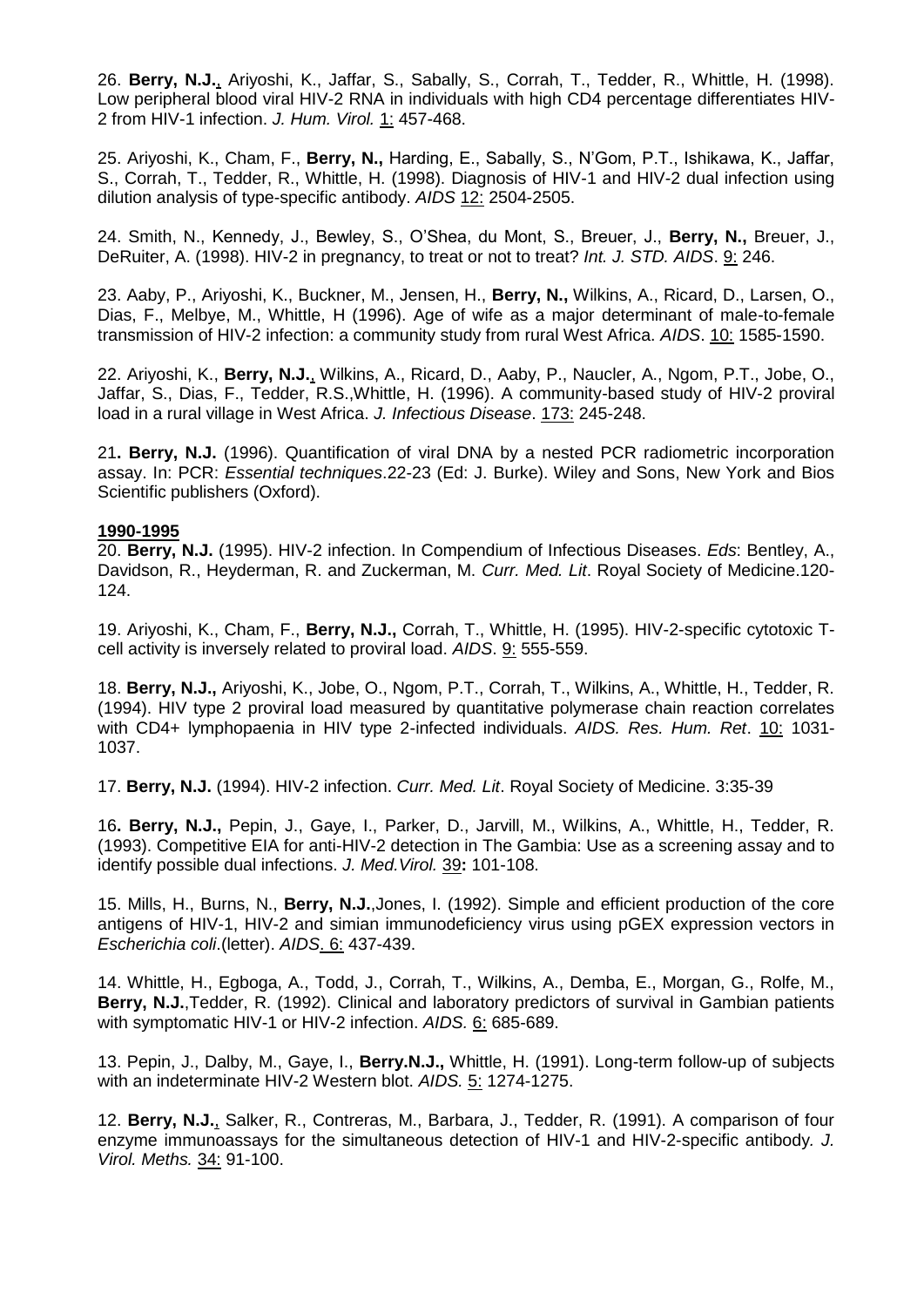26. **Berry, N.J.**, Ariyoshi, K., Jaffar, S., Sabally, S., Corrah, T., Tedder, R., Whittle, H. (1998). Low peripheral blood viral HIV-2 RNA in individuals with high CD4 percentage differentiates HIV-2 from HIV-1 infection. *J. Hum. Virol.* 1: 457-468.

25. Ariyoshi, K., Cham, F., **Berry, N.,** Harding, E., Sabally, S., N'Gom, P.T., Ishikawa, K., Jaffar, S., Corrah, T., Tedder, R., Whittle, H. (1998). Diagnosis of HIV-1 and HIV-2 dual infection using dilution analysis of type-specific antibody. *AIDS* 12: 2504-2505.

24. Smith, N., Kennedy, J., Bewley, S., O'Shea, du Mont, S., Breuer, J., **Berry, N.,** Breuer, J., DeRuiter, A. (1998). HIV-2 in pregnancy, to treat or not to treat? *Int. J. STD. AIDS*. 9: 246.

23. Aaby, P., Ariyoshi, K., Buckner, M., Jensen, H., **Berry, N.,** Wilkins, A., Ricard, D., Larsen, O., Dias, F., Melbye, M., Whittle, H (1996). Age of wife as a major determinant of male-to-female transmission of HIV-2 infection: a community study from rural West Africa. *AIDS*. 10: 1585-1590.

22. Ariyoshi, K., **Berry, N.J.**, Wilkins, A., Ricard, D., Aaby, P., Naucler, A., Ngom, P.T., Jobe, O., Jaffar, S., Dias, F., Tedder, R.S.,Whittle, H. (1996). A community-based study of HIV-2 proviral load in a rural village in West Africa. *J. Infectious Disease*. 173: 245-248.

21**. Berry, N.J.** (1996). Quantification of viral DNA by a nested PCR radiometric incorporation assay. In: PCR: *Essential techniques*.22-23 (Ed: J. Burke). Wiley and Sons, New York and Bios Scientific publishers (Oxford).

### **1990-1995**

20. **Berry, N.J.** (1995). HIV-2 infection. In Compendium of Infectious Diseases. *Eds*: Bentley, A., Davidson, R., Heyderman, R. and Zuckerman, M. *Curr. Med. Lit*. Royal Society of Medicine.120- 124.

19. Ariyoshi, K., Cham, F., **Berry, N.J.,** Corrah, T., Whittle, H. (1995). HIV-2-specific cytotoxic Tcell activity is inversely related to proviral load. *AIDS*. 9: 555-559.

18. **Berry, N.J.,** Ariyoshi, K., Jobe, O., Ngom, P.T., Corrah, T., Wilkins, A., Whittle, H., Tedder, R. (1994). HIV type 2 proviral load measured by quantitative polymerase chain reaction correlates with CD4+ lymphopaenia in HIV type 2-infected individuals. *AIDS. Res. Hum. Ret*. 10: 1031- 1037.

17. **Berry, N.J.** (1994). HIV-2 infection. *Curr. Med. Lit*. Royal Society of Medicine. 3:35-39

16**. Berry, N.J.,** Pepin, J., Gaye, I., Parker, D., Jarvill, M., Wilkins, A., Whittle, H., Tedder, R. (1993). Competitive EIA for anti-HIV-2 detection in The Gambia: Use as a screening assay and to identify possible dual infections. *J. Med.Virol.* 39**:** 101-108.

15. Mills, H., Burns, N., **Berry, N.J.**,Jones, I. (1992). Simple and efficient production of the core antigens of HIV-1, HIV-2 and simian immunodeficiency virus using pGEX expression vectors in *Escherichia coli*.(letter). *AIDS*. 6: 437-439.

14. Whittle, H., Egboga, A., Todd, J., Corrah, T., Wilkins, A., Demba, E., Morgan, G., Rolfe, M., **Berry, N.J.**,Tedder, R. (1992). Clinical and laboratory predictors of survival in Gambian patients with symptomatic HIV-1 or HIV-2 infection. AIDS. 6: 685-689.

13. Pepin, J., Dalby, M., Gaye, I., **Berry.N.J.,** Whittle, H. (1991). Long-term follow-up of subjects with an indeterminate HIV-2 Western blot. *AIDS.* 5: 1274-1275.

12. **Berry, N.J.**, Salker, R., Contreras, M., Barbara, J., Tedder, R. (1991). A comparison of four enzyme immunoassays for the simultaneous detection of HIV-1 and HIV-2-specific antibody*. J. Virol. Meths.* 34: 91-100.